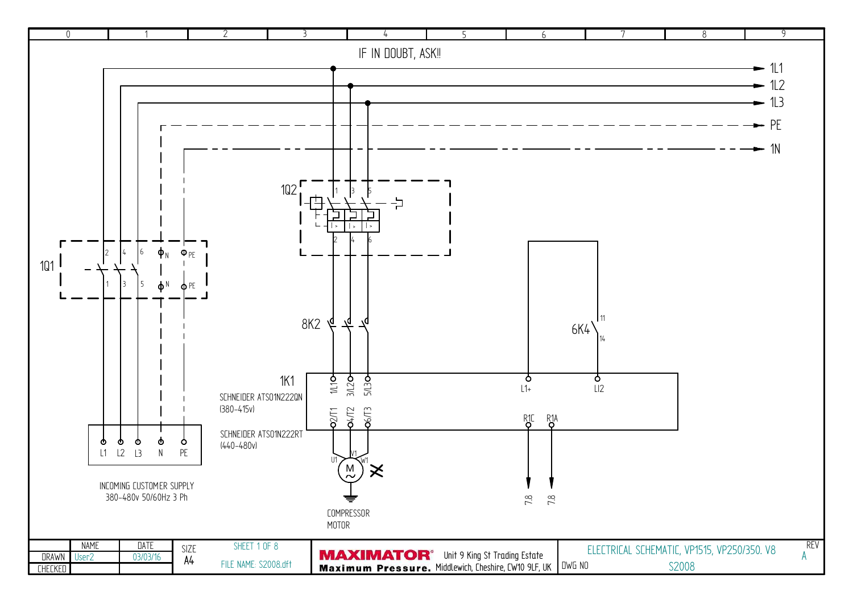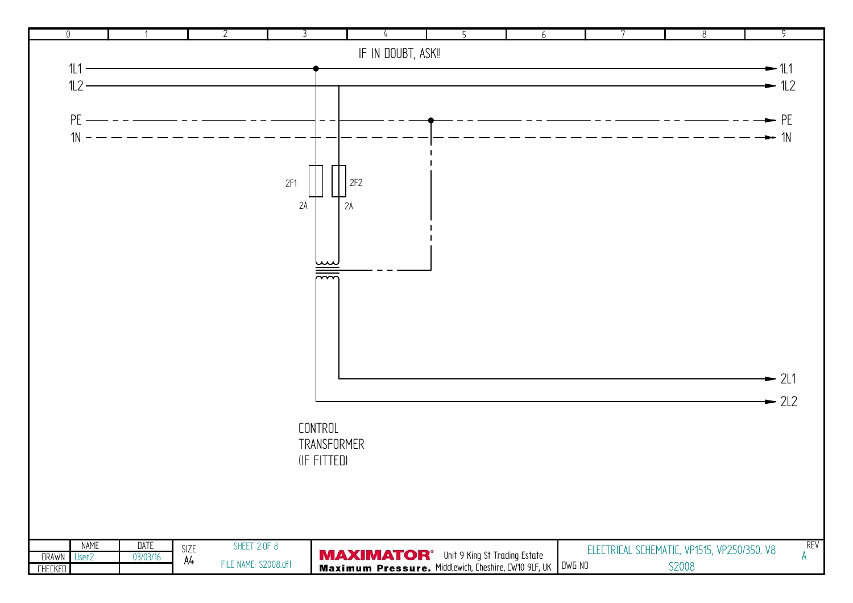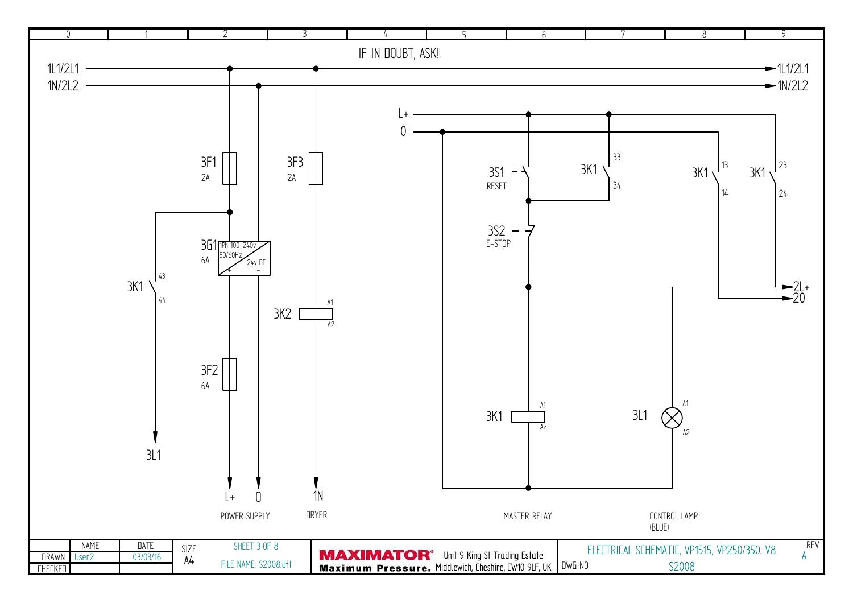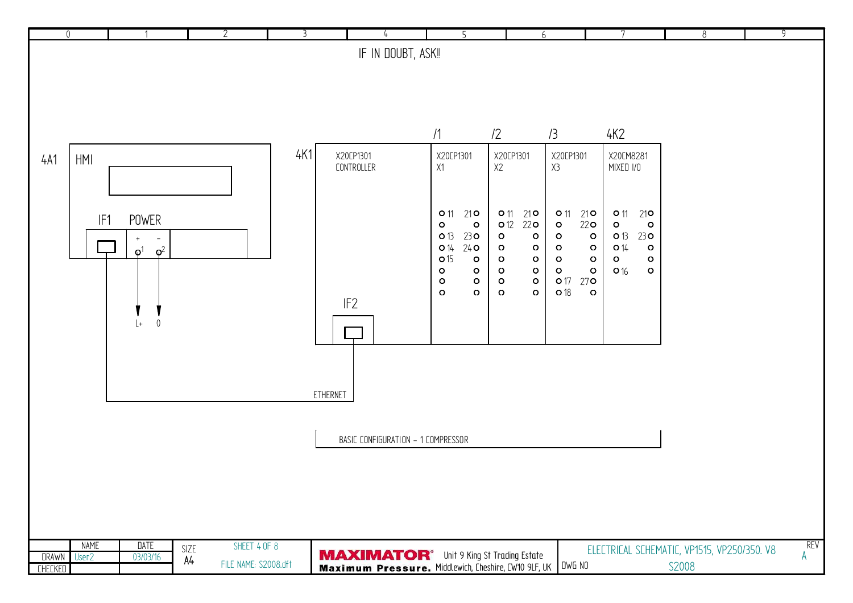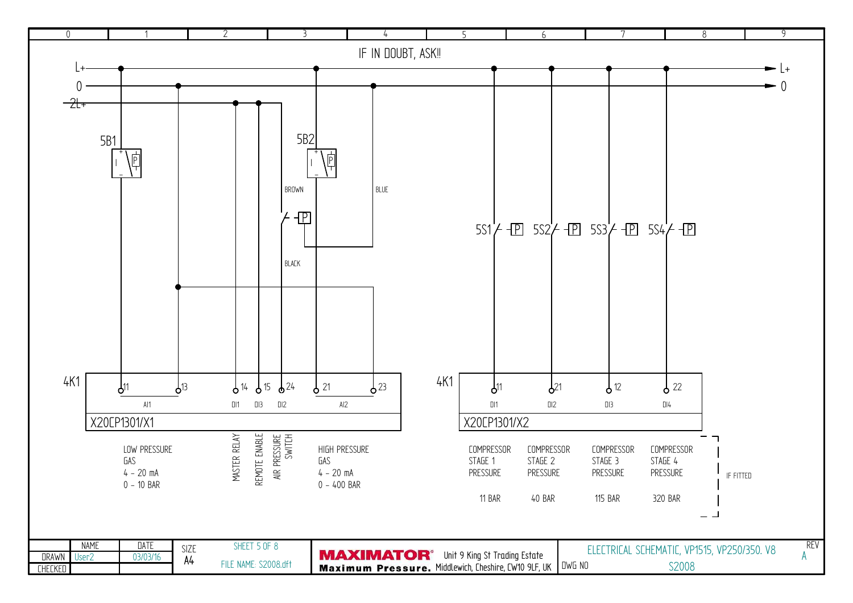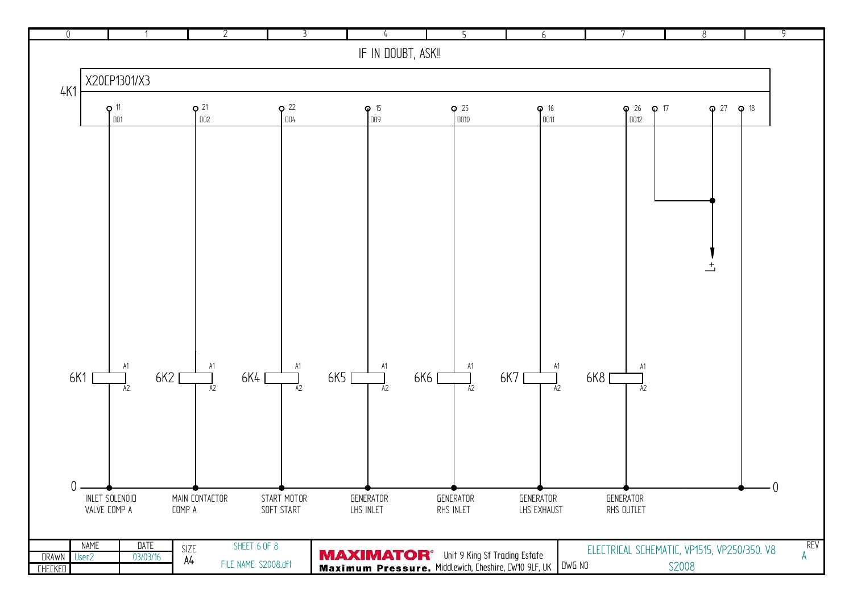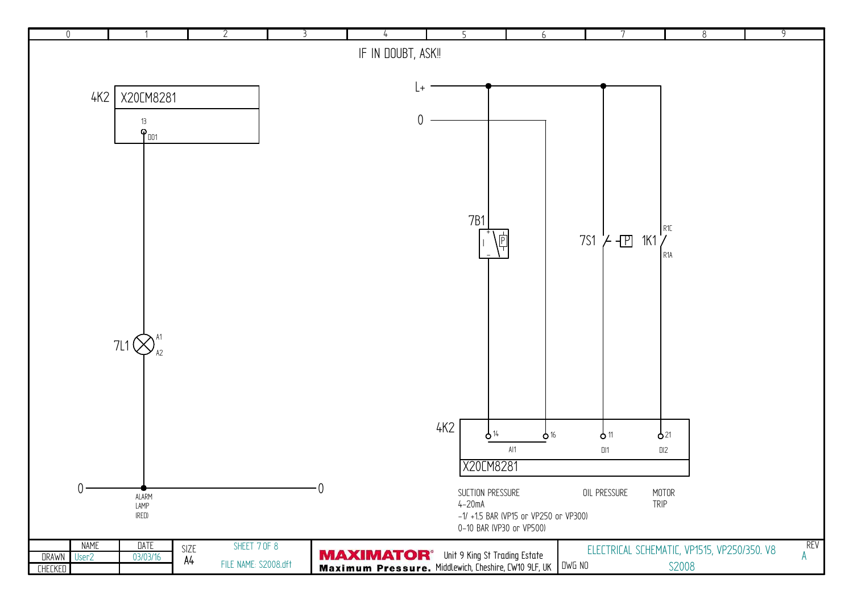